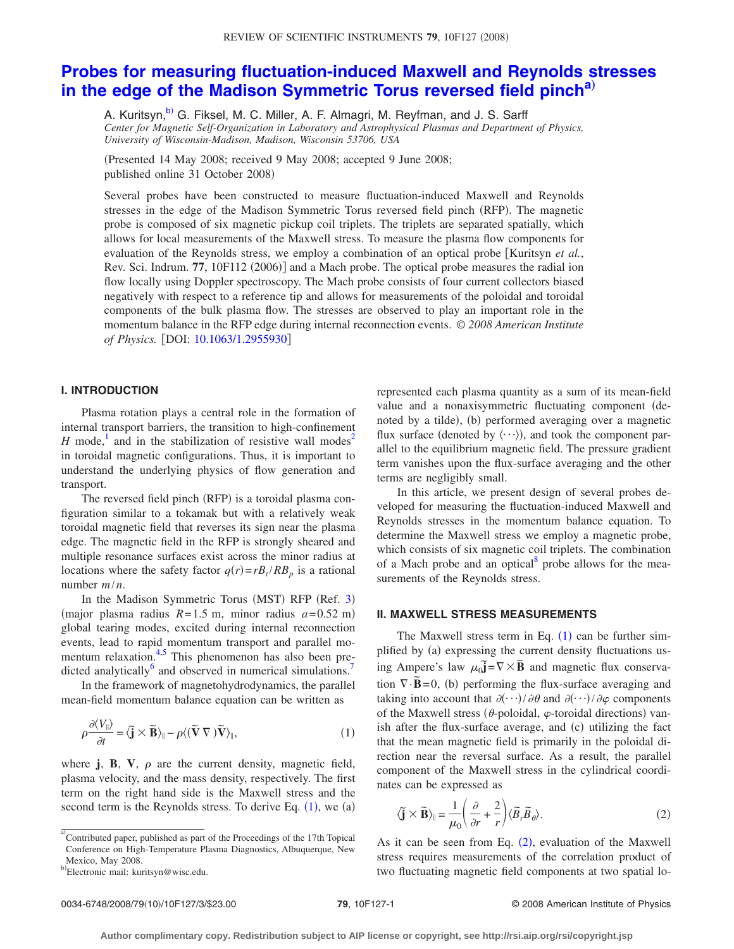# **[Probes for measuring fluctuation-induced Maxwell and Reynolds stresses](http://dx.doi.org/10.1063/1.2955930) [in the edge of the Madison Symmetric Torus reversed field pinch](http://dx.doi.org/10.1063/1.2955930)[a](#page-0-0)**…

A. Kuritsyn,<sup>b)</sup> G. Fiksel, M. C. Miller, A. F. Almagri, M. Reyfman, and J. S. Sarff *Center for Magnetic Self-Organization in Laboratory and Astrophysical Plasmas and Department of Physics, University of Wisconsin-Madison, Madison, Wisconsin 53706, USA*

Presented 14 May 2008; received 9 May 2008; accepted 9 June 2008; published online 31 October 2008)

Several probes have been constructed to measure fluctuation-induced Maxwell and Reynolds stresses in the edge of the Madison Symmetric Torus reversed field pinch (RFP). The magnetic probe is composed of six magnetic pickup coil triplets. The triplets are separated spatially, which allows for local measurements of the Maxwell stress. To measure the plasma flow components for evaluation of the Reynolds stress, we employ a combination of an optical probe [Kuritsyn *et al.*, Rev. Sci. Indrum. 77, 10F112 (2006)] and a Mach probe. The optical probe measures the radial ion flow locally using Doppler spectroscopy. The Mach probe consists of four current collectors biased negatively with respect to a reference tip and allows for measurements of the poloidal and toroidal components of the bulk plasma flow. The stresses are observed to play an important role in the momentum balance in the RFP edge during internal reconnection events. *© 2008 American Institute of Physics.* [DOI: [10.1063/1.2955930](http://dx.doi.org/10.1063/1.2955930)]

# **I. INTRODUCTION**

Plasma rotation plays a central role in the formation of internal transport barriers, the transition to high-confinement *H* mode,<sup>1</sup> and in the stabilization of resistive wall modes<sup>2</sup> in toroidal magnetic configurations. Thus, it is important to understand the underlying physics of flow generation and transport.

The reversed field pinch (RFP) is a toroidal plasma configuration similar to a tokamak but with a relatively weak toroidal magnetic field that reverses its sign near the plasma edge. The magnetic field in the RFP is strongly sheared and multiple resonance surfaces exist across the minor radius at locations where the safety factor  $q(r) = rB_t / RB_p$  is a rational number *m*/*n*.

In the Madison Symmetric Torus (MST) RFP (Ref. [3](#page-2-2)) (major plasma radius  $R = 1.5$  m, minor radius  $a = 0.52$  m) global tearing modes, excited during internal reconnection events, lead to rapid momentum transport and parallel momentum relaxation. $4.5$  This phenomenon has also been predicted analytically<sup>6</sup> and observed in numerical simulations.<sup>7</sup>

In the framework of magnetohydrodynamics, the parallel mean-field momentum balance equation can be written as

<span id="page-0-2"></span>
$$
\rho \frac{\partial \langle V_{\parallel} \rangle}{\partial t} = \langle \tilde{\mathbf{j}} \times \tilde{\mathbf{B}} \rangle_{\parallel} - \rho \langle (\tilde{\mathbf{V}} \nabla) \tilde{\mathbf{V}} \rangle_{\parallel},\tag{1}
$$

where  $\mathbf{j}$ ,  $\mathbf{B}$ ,  $\mathbf{V}$ ,  $\rho$  are the current density, magnetic field, plasma velocity, and the mass density, respectively. The first term on the right hand side is the Maxwell stress and the second term is the Reynolds stress. To derive Eq.  $(1)$  $(1)$  $(1)$ , we  $(a)$ 

<span id="page-0-0"></span>a)<br>Contributed paper, published as part of the Proceedings of the 17th Topical Conference on High-Temperature Plasma Diagnostics, Albuquerque, New Mexico, May 2008.

represented each plasma quantity as a sum of its mean-field value and a nonaxisymmetric fluctuating component denoted by a tilde), (b) performed averaging over a magnetic flux surface (denoted by  $\langle \cdots \rangle$ ), and took the component parallel to the equilibrium magnetic field. The pressure gradient term vanishes upon the flux-surface averaging and the other terms are negligibly small.

In this article, we present design of several probes developed for measuring the fluctuation-induced Maxwell and Reynolds stresses in the momentum balance equation. To determine the Maxwell stress we employ a magnetic probe, which consists of six magnetic coil triplets. The combination of a Mach probe and an optical $\delta$  probe allows for the measurements of the Reynolds stress.

#### **II. MAXWELL STRESS MEASUREMENTS**

The Maxwell stress term in Eq.  $(1)$  $(1)$  $(1)$  can be further simplified by (a) expressing the current density fluctuations using Ampere's law  $\mu_0 \vec{j} = \nabla \times \vec{B}$  and magnetic flux conservation  $\nabla \cdot \vec{B} = 0$ , (b) performing the flux-surface averaging and taking into account that  $\partial$   $\langle \cdots \rangle$  /  $\partial \theta$  and  $\partial$   $\langle \cdots \rangle$  /  $\partial \varphi$  components of the Maxwell stress ( $\theta$ -poloidal,  $\varphi$ -toroidal directions) vanish after the flux-surface average, and (c) utilizing the fact that the mean magnetic field is primarily in the poloidal direction near the reversal surface. As a result, the parallel component of the Maxwell stress in the cylindrical coordinates can be expressed as

<span id="page-0-3"></span>
$$
\langle \tilde{\mathbf{j}} \times \tilde{\mathbf{B}} \rangle_{\parallel} = \frac{1}{\mu_0} \left( \frac{\partial}{\partial r} + \frac{2}{r} \right) \langle \tilde{B}_r \tilde{B}_\theta \rangle.
$$
 (2)

As it can be seen from Eq.  $(2)$  $(2)$  $(2)$ , evaluation of the Maxwell stress requires measurements of the correlation product of two fluctuating magnetic field components at two spatial lo-

<span id="page-0-1"></span><sup>&</sup>lt;sup>b)</sup>Electronic mail: kuritsyn@wisc.edu.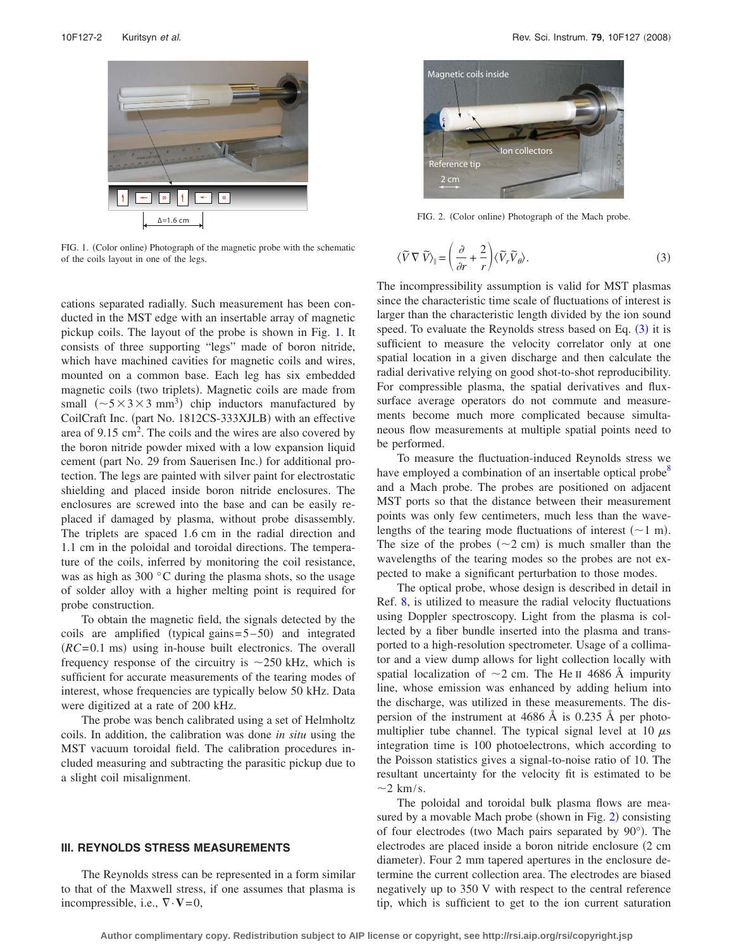<span id="page-1-0"></span>

FIG. 1. (Color online) Photograph of the magnetic probe with the schematic of the coils layout in one of the legs.

cations separated radially. Such measurement has been conducted in the MST edge with an insertable array of magnetic pickup coils. The layout of the probe is shown in Fig. [1.](#page-1-0) It consists of three supporting "legs" made of boron nitride, which have machined cavities for magnetic coils and wires, mounted on a common base. Each leg has six embedded magnetic coils (two triplets). Magnetic coils are made from small  $({\sim}5 \times 3 \times 3 \text{ mm}^3)$  chip inductors manufactured by CoilCraft Inc. (part No. 1812CS-333XJLB) with an effective area of  $9.15 \text{ cm}^2$ . The coils and the wires are also covered by the boron nitride powder mixed with a low expansion liquid cement (part No. 29 from Sauerisen Inc.) for additional protection. The legs are painted with silver paint for electrostatic shielding and placed inside boron nitride enclosures. The enclosures are screwed into the base and can be easily replaced if damaged by plasma, without probe disassembly. The triplets are spaced 1.6 cm in the radial direction and 1.1 cm in the poloidal and toroidal directions. The temperature of the coils, inferred by monitoring the coil resistance, was as high as 300 °C during the plasma shots, so the usage of solder alloy with a higher melting point is required for probe construction.

To obtain the magnetic field, the signals detected by the coils are amplified (typical gains $= 5-50$ ) and integrated  $(RC=0.1 \text{ ms})$  using in-house built electronics. The overall frequency response of the circuitry is  $\sim$  250 kHz, which is sufficient for accurate measurements of the tearing modes of interest, whose frequencies are typically below 50 kHz. Data were digitized at a rate of 200 kHz.

The probe was bench calibrated using a set of Helmholtz coils. In addition, the calibration was done *in situ* using the MST vacuum toroidal field. The calibration procedures included measuring and subtracting the parasitic pickup due to a slight coil misalignment.

## **III. REYNOLDS STRESS MEASUREMENTS**

The Reynolds stress can be represented in a form similar to that of the Maxwell stress, if one assumes that plasma is incompressible, i.e.,  $\nabla \cdot \mathbf{V} = 0$ ,

<span id="page-1-2"></span>

FIG. 2. (Color online) Photograph of the Mach probe.

<span id="page-1-1"></span>
$$
\langle \widetilde{V} \nabla \widetilde{V} \rangle_{\parallel} = \left( \frac{\partial}{\partial r} + \frac{2}{r} \right) \langle \widetilde{V}_r \widetilde{V}_\theta \rangle. \tag{3}
$$

The incompressibility assumption is valid for MST plasmas since the characteristic time scale of fluctuations of interest is larger than the characteristic length divided by the ion sound speed. To evaluate the Reynolds stress based on Eq.  $(3)$  $(3)$  $(3)$  it is sufficient to measure the velocity correlator only at one spatial location in a given discharge and then calculate the radial derivative relying on good shot-to-shot reproducibility. For compressible plasma, the spatial derivatives and fluxsurface average operators do not commute and measurements become much more complicated because simultaneous flow measurements at multiple spatial points need to be performed.

To measure the fluctuation-induced Reynolds stress we have employed a combination of an insertable optical probe<sup>8</sup> and a Mach probe. The probes are positioned on adjacent MST ports so that the distance between their measurement points was only few centimeters, much less than the wavelengths of the tearing mode fluctuations of interest  $(\sim 1 \text{ m})$ . The size of the probes  $({\sim}2 \text{ cm})$  is much smaller than the wavelengths of the tearing modes so the probes are not expected to make a significant perturbation to those modes.

The optical probe, whose design is described in detail in Ref. [8,](#page-2-7) is utilized to measure the radial velocity fluctuations using Doppler spectroscopy. Light from the plasma is collected by a fiber bundle inserted into the plasma and transported to a high-resolution spectrometer. Usage of a collimator and a view dump allows for light collection locally with spatial localization of  $\sim$ 2 cm. The He II 4686 Å impurity line, whose emission was enhanced by adding helium into the discharge, was utilized in these measurements. The dispersion of the instrument at 4686 Å is 0.235 Å per photomultiplier tube channel. The typical signal level at 10  $\mu$ s integration time is 100 photoelectrons, which according to the Poisson statistics gives a signal-to-noise ratio of 10. The resultant uncertainty for the velocity fit is estimated to be  $\sim$ 2 km/s.

The poloidal and toroidal bulk plasma flows are mea-sured by a movable Mach probe (shown in Fig. [2](#page-1-2)) consisting of four electrodes (two Mach pairs separated by 90°). The electrodes are placed inside a boron nitride enclosure  $(2 \text{ cm})$ diameter). Four 2 mm tapered apertures in the enclosure determine the current collection area. The electrodes are biased negatively up to 350 V with respect to the central reference tip, which is sufficient to get to the ion current saturation